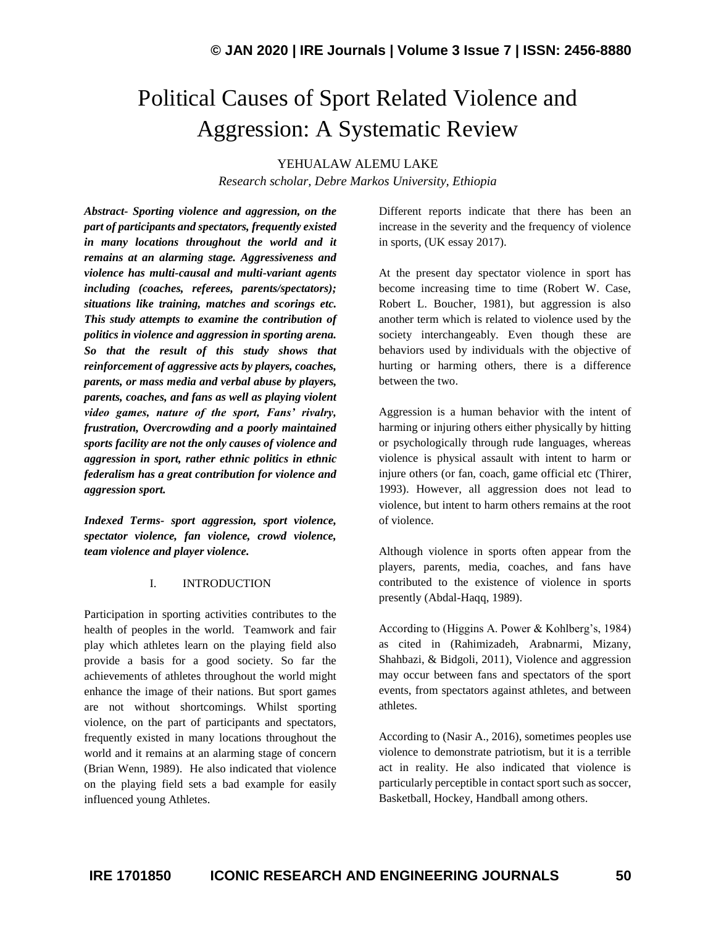# Political Causes of Sport Related Violence and Aggression: A Systematic Review

YEHUALAW ALEMU LAKE

*Research scholar, Debre Markos University, Ethiopia*

*Abstract- Sporting violence and aggression, on the part of participants and spectators, frequently existed in many locations throughout the world and it remains at an alarming stage. Aggressiveness and violence has multi-causal and multi-variant agents including (coaches, referees, parents/spectators); situations like training, matches and scorings etc. This study attempts to examine the contribution of politics in violence and aggression in sporting arena. So that the result of this study shows that reinforcement of aggressive acts by players, coaches, parents, or mass media and verbal abuse by players, parents, coaches, and fans as well as playing violent video games, nature of the sport, Fans' rivalry, frustration, Overcrowding and a poorly maintained sports facility are not the only causes of violence and aggression in sport, rather ethnic politics in ethnic federalism has a great contribution for violence and aggression sport.*

*Indexed Terms- sport aggression, sport violence, spectator violence, fan violence, crowd violence, team violence and player violence.*

#### I. INTRODUCTION

Participation in sporting activities contributes to the health of peoples in the world. Teamwork and fair play which athletes learn on the playing field also provide a basis for a good society. So far the achievements of athletes throughout the world might enhance the image of their nations. But sport games are not without shortcomings. Whilst sporting violence, on the part of participants and spectators, frequently existed in many locations throughout the world and it remains at an alarming stage of concern [\(Brian Wenn,](https://aic.gov.au/publications?f%5B0%5D=sm_author_full_name%3ABrian%20Wenn) 1989). He also indicated that violence on the playing field sets a bad example for easily influenced young Athletes.

Different reports indicate that there has been an increase in the severity and the frequency of violence in sports, (UK essay 2017).

At the present day spectator violence in sport has become increasing time to time (Robert W. Case, Robert L. Boucher, 1981), but aggression is also another term which is related to violence used by the society interchangeably. Even though these are behaviors used by individuals with the objective of hurting or harming others, there is a difference between the two.

Aggression is a human behavior with the intent of harming or injuring others either physically by hitting or psychologically through rude languages, whereas violence is physical assault with intent to harm or injure others (or fan, coach, game official etc (Thirer, 1993). However, all aggression does not lead to violence, but intent to harm others remains at the root of violence.

Although violence in sports often appear from the players, parents, media, coaches, and fans have contributed to the existence of violence in sports presently (Abdal-Haqq, 1989).

According to (Higgins A. Power & Kohlberg's, 1984) as cited in (Rahimizadeh, Arabnarmi, Mizany, Shahbazi, & Bidgoli, 2011), Violence and aggression may occur between fans and spectators of the sport events, from spectators against athletes, and between athletes.

According to (Nasir A., 2016), sometimes peoples use violence to demonstrate patriotism, but it is a terrible act in reality. He also indicated that violence is particularly perceptible in contact sport such as soccer, Basketball, Hockey, Handball among others.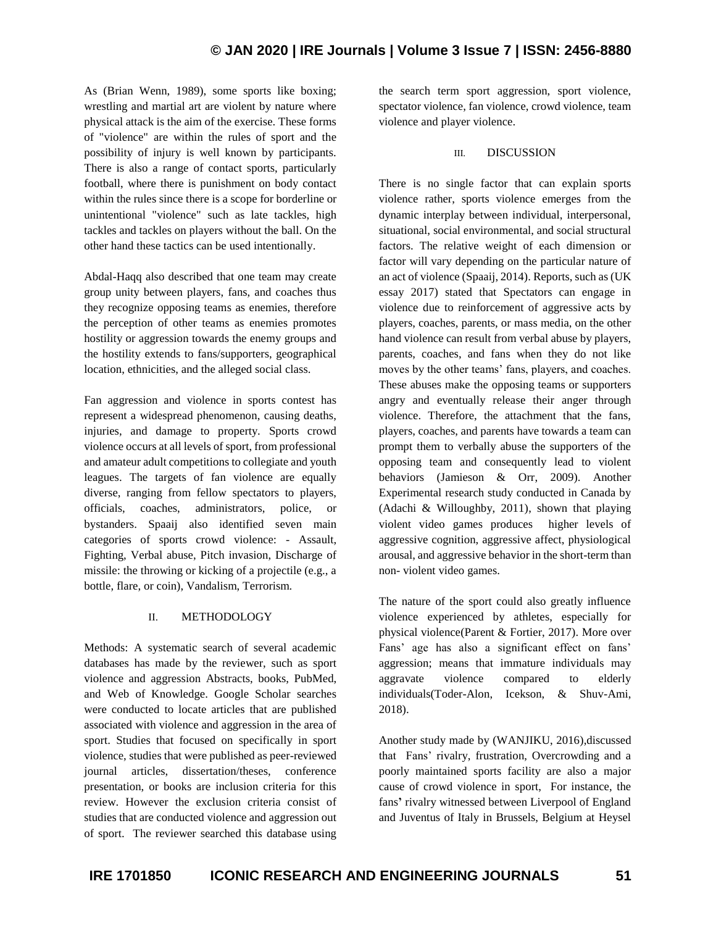As [\(Brian Wenn,](https://aic.gov.au/publications?f%5B0%5D=sm_author_full_name%3ABrian%20Wenn) 1989), some sports like boxing; wrestling and martial art are violent by nature where physical attack is the aim of the exercise. These forms of "violence" are within the rules of sport and the possibility of injury is well known by participants. There is also a range of contact sports, particularly football, where there is punishment on body contact within the rules since there is a scope for borderline or unintentional "violence" such as late tackles, high tackles and tackles on players without the ball. On the other hand these tactics can be used intentionally.

Abdal-Haqq also described that one team may create group unity between players, fans, and coaches thus they recognize opposing teams as enemies, therefore the perception of other teams as enemies promotes hostility or aggression towards the enemy groups and the hostility extends to fans/supporters, geographical location, ethnicities, and the alleged social class.

Fan aggression and violence in sports contest has represent a widespread phenomenon, causing deaths, injuries, and damage to property. Sports crowd violence occurs at all levels of sport, from professional and amateur adult competitions to collegiate and youth leagues. The targets of fan violence are equally diverse, ranging from fellow spectators to players, officials, coaches, administrators, police, or bystanders. Spaaij also identified seven main categories of sports crowd violence: - Assault, Fighting, Verbal abuse, Pitch invasion, Discharge of missile: the throwing or kicking of a projectile (e.g., a bottle, flare, or coin), Vandalism, Terrorism.

### II. METHODOLOGY

Methods: A systematic search of several academic databases has made by the reviewer, such as sport violence and aggression Abstracts, books, PubMed, and Web of Knowledge. Google Scholar searches were conducted to locate articles that are published associated with violence and aggression in the area of sport. Studies that focused on specifically in sport violence, studies that were published as peer-reviewed journal articles, dissertation/theses, conference presentation, or books are inclusion criteria for this review. However the exclusion criteria consist of studies that are conducted violence and aggression out of sport. The reviewer searched this database using the search term sport aggression, sport violence, spectator violence, fan violence, crowd violence, team violence and player violence.

#### III. DISCUSSION

There is no single factor that can explain sports violence rather, sports violence emerges from the dynamic interplay between individual, interpersonal, situational, social environmental, and social structural factors. The relative weight of each dimension or factor will vary depending on the particular nature of an act of violence (Spaaij, 2014). Reports, such as (UK essay 2017) stated that Spectators can engage in violence due to reinforcement of aggressive acts by players, coaches, parents, or mass media, on the other hand violence can result from verbal abuse by players, parents, coaches, and fans when they do not like moves by the other teams' fans, players, and coaches. These abuses make the opposing teams or supporters angry and eventually release their anger through violence. Therefore, the attachment that the fans, players, coaches, and parents have towards a team can prompt them to verbally abuse the supporters of the opposing team and consequently lead to violent behaviors (Jamieson & Orr, 2009). Another Experimental research study conducted in Canada by (Adachi & Willoughby, 2011), shown that playing violent video games produces higher levels of aggressive cognition, aggressive affect, physiological arousal, and aggressive behavior in the short-term than non- violent video games.

The nature of the sport could also greatly influence violence experienced by athletes, especially for physical violence(Parent & Fortier, 2017). More over Fans' age has also a significant effect on fans' aggression; means that immature individuals may aggravate violence compared to elderly individuals(Toder-Alon, Icekson, & Shuv-Ami, 2018).

Another study made by (WANJIKU, 2016),discussed that Fans' rivalry, frustration, Overcrowding and a poorly maintained sports facility are also a major cause of crowd violence in sport, For instance, the fans**'** rivalry witnessed between Liverpool of England and Juventus of Italy in Brussels, Belgium at Heysel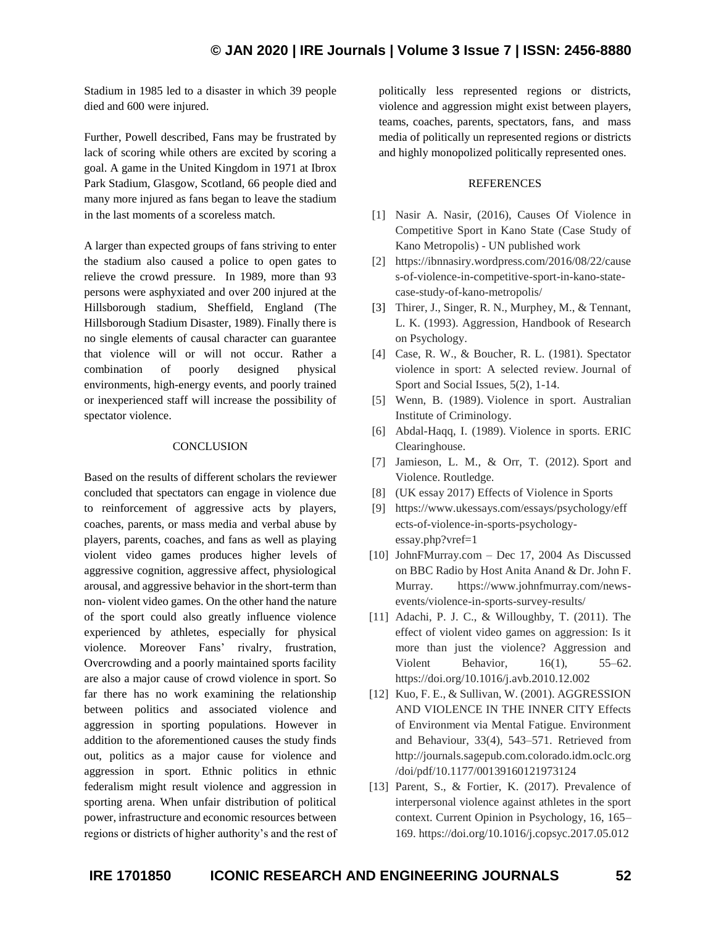Stadium in 1985 led to a disaster in which 39 people died and 600 were injured.

Further, Powell described, Fans may be frustrated by lack of scoring while others are excited by scoring a goal. A game in the United Kingdom in 1971 at Ibrox Park Stadium, Glasgow, Scotland, 66 people died and many more injured as fans began to leave the stadium in the last moments of a scoreless match.

A larger than expected groups of fans striving to enter the stadium also caused a police to open gates to relieve the crowd pressure. In 1989, more than 93 persons were asphyxiated and over 200 injured at the Hillsborough stadium, Sheffield, England (The Hillsborough Stadium Disaster, 1989). Finally there is no single elements of causal character can guarantee that violence will or will not occur. Rather a combination of poorly designed physical environments, high-energy events, and poorly trained or inexperienced staff will increase the possibility of spectator violence.

### **CONCLUSION**

Based on the results of different scholars the reviewer concluded that spectators can engage in violence due to reinforcement of aggressive acts by players, coaches, parents, or mass media and verbal abuse by players, parents, coaches, and fans as well as playing violent video games produces higher levels of aggressive cognition, aggressive affect, physiological arousal, and aggressive behavior in the short-term than non- violent video games. On the other hand the nature of the sport could also greatly influence violence experienced by athletes, especially for physical violence. Moreover Fans' rivalry, frustration, Overcrowding and a poorly maintained sports facility are also a major cause of crowd violence in sport. So far there has no work examining the relationship between politics and associated violence and aggression in sporting populations. However in addition to the aforementioned causes the study finds out, politics as a major cause for violence and aggression in sport. Ethnic politics in ethnic federalism might result violence and aggression in sporting arena. When unfair distribution of political power, infrastructure and economic resources between regions or districts of higher authority's and the rest of politically less represented regions or districts, violence and aggression might exist between players, teams, coaches, parents, spectators, fans, and mass media of politically un represented regions or districts and highly monopolized politically represented ones.

## REFERENCES

- [1] Nasir A. Nasir, (2016), [Causes Of Violence in](https://ibnnasiry.wordpress.com/2016/08/22/causes-of-violence-in-competitive-sport-in-kano-state-case-study-of-kano-metropolis/)  [Competitive Sport in Kano State \(Case Study of](https://ibnnasiry.wordpress.com/2016/08/22/causes-of-violence-in-competitive-sport-in-kano-state-case-study-of-kano-metropolis/)  Kano [Metropolis\)](https://ibnnasiry.wordpress.com/2016/08/22/causes-of-violence-in-competitive-sport-in-kano-state-case-study-of-kano-metropolis/) - UN published work
- [2] [https://ibnnasiry.wordpress.com/2016/08/22/cause](https://ibnnasiry.wordpress.com/2016/08/22/causes-of-violence-in-competitive-sport-in-kano-state-case-study-of-kano-metropolis/) [s-of-violence-in-competitive-sport-in-kano-state](https://ibnnasiry.wordpress.com/2016/08/22/causes-of-violence-in-competitive-sport-in-kano-state-case-study-of-kano-metropolis/)[case-study-of-kano-metropolis/](https://ibnnasiry.wordpress.com/2016/08/22/causes-of-violence-in-competitive-sport-in-kano-state-case-study-of-kano-metropolis/)
- [3] Thirer, J., Singer, R. N., Murphey, M., & Tennant, L. K. (1993). Aggression, Handbook of Research on Psychology.
- [4] Case, R. W., & Boucher, R. L. (1981). Spectator violence in sport: A selected review. Journal of Sport and Social Issues, 5(2), 1-14.
- [5] Wenn, B. (1989). Violence in sport. Australian Institute of Criminology.
- [6] Abdal-Haqq, I. (1989). Violence in sports. ERIC Clearinghouse.
- [7] Jamieson, L. M., & Orr, T. (2012). Sport and Violence. Routledge.
- [8] (UK essay 2017) Effects of Violence in Sports
- [9] [https://www.ukessays.com/essays/psychology/eff](https://www.ukessays.com/essays/psychology/effects-of-violence-in-sports-psychology-essay.php?vref=1) [ects-of-violence-in-sports-psychology](https://www.ukessays.com/essays/psychology/effects-of-violence-in-sports-psychology-essay.php?vref=1)[essay.php?vref=1](https://www.ukessays.com/essays/psychology/effects-of-violence-in-sports-psychology-essay.php?vref=1)
- [10] JohnFMurray.com Dec 17, 2004 As Discussed on BBC Radio by Host Anita Anand & Dr. John F. Murray. [https://www.johnfmurray.com/news](https://www.johnfmurray.com/news-events/violence-in-sports-survey-results/)[events/violence-in-sports-survey-results/](https://www.johnfmurray.com/news-events/violence-in-sports-survey-results/)
- [11] Adachi, P. J. C., & Willoughby, T. (2011). The effect of violent video games on aggression: Is it more than just the violence? Aggression and Violent Behavior, 16(1), 55–62. https://doi.org/10.1016/j.avb.2010.12.002
- [12] Kuo, F. E., & Sullivan, W. (2001). AGGRESSION AND VIOLENCE IN THE INNER CITY Effects of Environment via Mental Fatigue. Environment and Behaviour, 33(4), 543–571. Retrieved from http://journals.sagepub.com.colorado.idm.oclc.org /doi/pdf/10.1177/00139160121973124
- [13] Parent, S., & Fortier, K. (2017). Prevalence of interpersonal violence against athletes in the sport context. Current Opinion in Psychology, 16, 165– 169. https://doi.org/10.1016/j.copsyc.2017.05.012